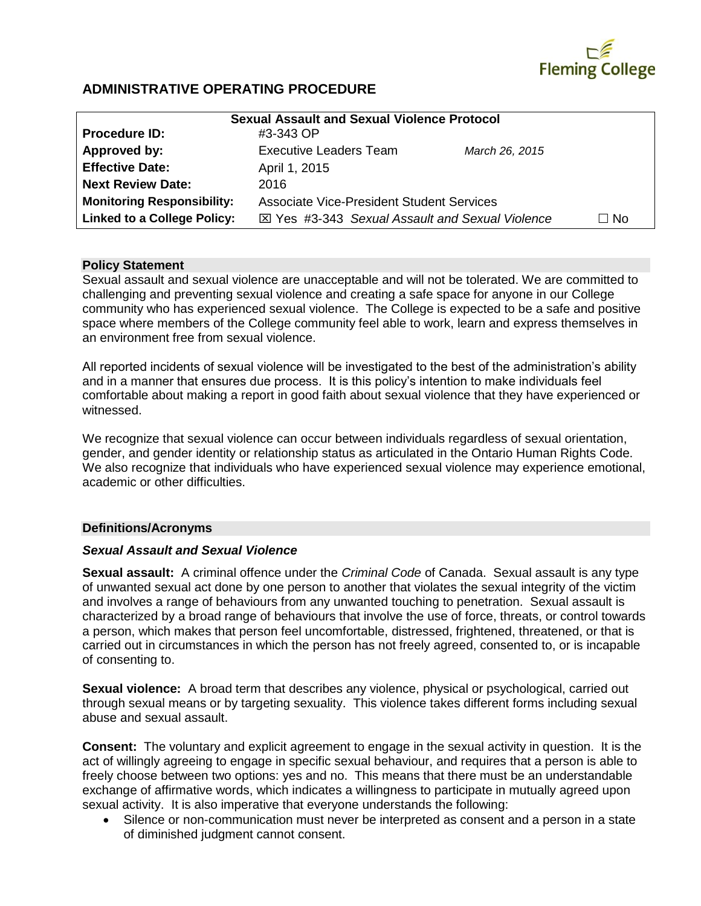

## **ADMINISTRATIVE OPERATING PROCEDURE**

| <b>Sexual Assault and Sexual Violence Protocol</b> |                                                  |                |           |
|----------------------------------------------------|--------------------------------------------------|----------------|-----------|
| <b>Procedure ID:</b>                               | #3-343 OP                                        |                |           |
| Approved by:                                       | Executive Leaders Team                           | March 26, 2015 |           |
| <b>Effective Date:</b>                             | April 1, 2015                                    |                |           |
| <b>Next Review Date:</b>                           | 2016                                             |                |           |
| <b>Monitoring Responsibility:</b>                  | <b>Associate Vice-President Student Services</b> |                |           |
| <b>Linked to a College Policy:</b>                 | ⊠ Yes #3-343 Sexual Assault and Sexual Violence  |                | $\Box$ No |

#### **Policy Statement**

Sexual assault and sexual violence are unacceptable and will not be tolerated. We are committed to challenging and preventing sexual violence and creating a safe space for anyone in our College community who has experienced sexual violence. The College is expected to be a safe and positive space where members of the College community feel able to work, learn and express themselves in an environment free from sexual violence.

All reported incidents of sexual violence will be investigated to the best of the administration's ability and in a manner that ensures due process. It is this policy's intention to make individuals feel comfortable about making a report in good faith about sexual violence that they have experienced or witnessed.

We recognize that sexual violence can occur between individuals regardless of sexual orientation, gender, and gender identity or relationship status as articulated in the Ontario Human Rights Code. We also recognize that individuals who have experienced sexual violence may experience emotional, academic or other difficulties.

#### **Definitions/Acronyms**

#### *Sexual Assault and Sexual Violence*

**Sexual assault:** A criminal offence under the *Criminal Code* of Canada. Sexual assault is any type of unwanted sexual act done by one person to another that violates the sexual integrity of the victim and involves a range of behaviours from any unwanted touching to penetration. Sexual assault is characterized by a broad range of behaviours that involve the use of force, threats, or control towards a person, which makes that person feel uncomfortable, distressed, frightened, threatened, or that is carried out in circumstances in which the person has not freely agreed, consented to, or is incapable of consenting to.

**Sexual violence:** A broad term that describes any violence, physical or psychological, carried out through sexual means or by targeting sexuality. This violence takes different forms including sexual abuse and sexual assault.

**Consent:** The voluntary and explicit agreement to engage in the sexual activity in question. It is the act of willingly agreeing to engage in specific sexual behaviour, and requires that a person is able to freely choose between two options: yes and no. This means that there must be an understandable exchange of affirmative words, which indicates a willingness to participate in mutually agreed upon sexual activity. It is also imperative that everyone understands the following:

 Silence or non-communication must never be interpreted as consent and a person in a state of diminished judgment cannot consent.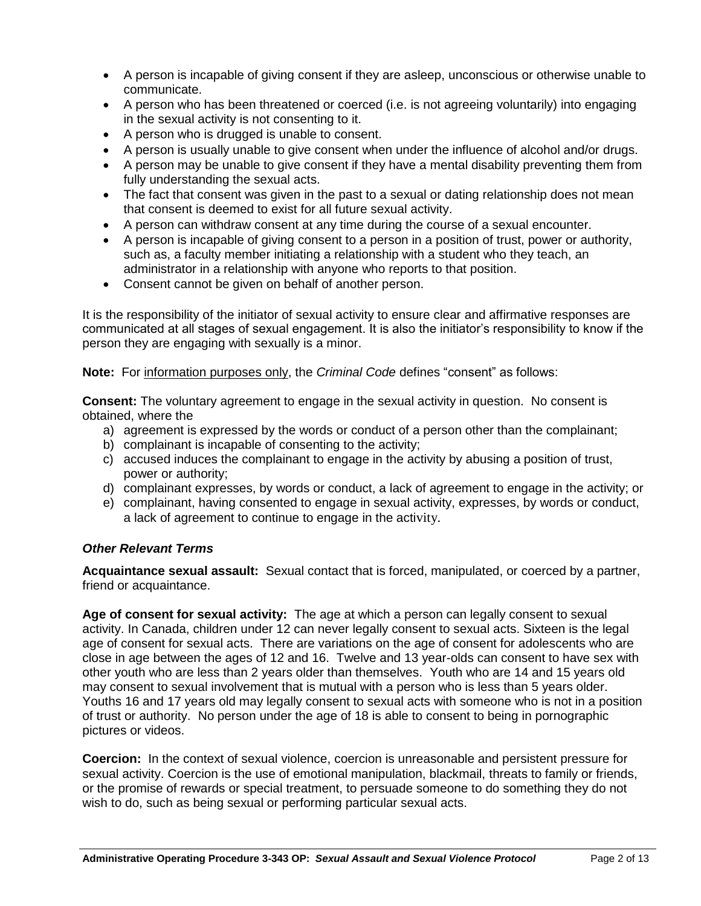- A person is incapable of giving consent if they are asleep, unconscious or otherwise unable to communicate.
- A person who has been threatened or coerced (i.e. is not agreeing voluntarily) into engaging in the sexual activity is not consenting to it.
- A person who is drugged is unable to consent.
- A person is usually unable to give consent when under the influence of alcohol and/or drugs.
- A person may be unable to give consent if they have a mental disability preventing them from fully understanding the sexual acts.
- The fact that consent was given in the past to a sexual or dating relationship does not mean that consent is deemed to exist for all future sexual activity.
- A person can withdraw consent at any time during the course of a sexual encounter.
- A person is incapable of giving consent to a person in a position of trust, power or authority, such as, a faculty member initiating a relationship with a student who they teach, an administrator in a relationship with anyone who reports to that position.
- Consent cannot be given on behalf of another person.

It is the responsibility of the initiator of sexual activity to ensure clear and affirmative responses are communicated at all stages of sexual engagement. It is also the initiator's responsibility to know if the person they are engaging with sexually is a minor.

**Note:** For information purposes only, the *Criminal Code* defines "consent" as follows:

**Consent:** The voluntary agreement to engage in the sexual activity in question. No consent is obtained, where the

- a) agreement is expressed by the words or conduct of a person other than the complainant;
- b) complainant is incapable of consenting to the activity;
- c) accused induces the complainant to engage in the activity by abusing a position of trust, power or authority;
- d) complainant expresses, by words or conduct, a lack of agreement to engage in the activity; or
- e) complainant, having consented to engage in sexual activity, expresses, by words or conduct, a lack of agreement to continue to engage in the activity.

## *Other Relevant Terms*

**Acquaintance sexual assault:** Sexual contact that is forced, manipulated, or coerced by a partner, friend or acquaintance.

**Age of consent for sexual activity:** The age at which a person can legally consent to sexual activity. In Canada, children under 12 can never legally consent to sexual acts. Sixteen is the legal age of consent for sexual acts. There are variations on the age of consent for adolescents who are close in age between the ages of 12 and 16. Twelve and 13 year-olds can consent to have sex with other youth who are less than 2 years older than themselves. Youth who are 14 and 15 years old may consent to sexual involvement that is mutual with a person who is less than 5 years older. Youths 16 and 17 years old may legally consent to sexual acts with someone who is not in a position of trust or authority. No person under the age of 18 is able to consent to being in pornographic pictures or videos.

**Coercion:** In the context of sexual violence, coercion is unreasonable and persistent pressure for sexual activity. Coercion is the use of emotional manipulation, blackmail, threats to family or friends, or the promise of rewards or special treatment, to persuade someone to do something they do not wish to do, such as being sexual or performing particular sexual acts.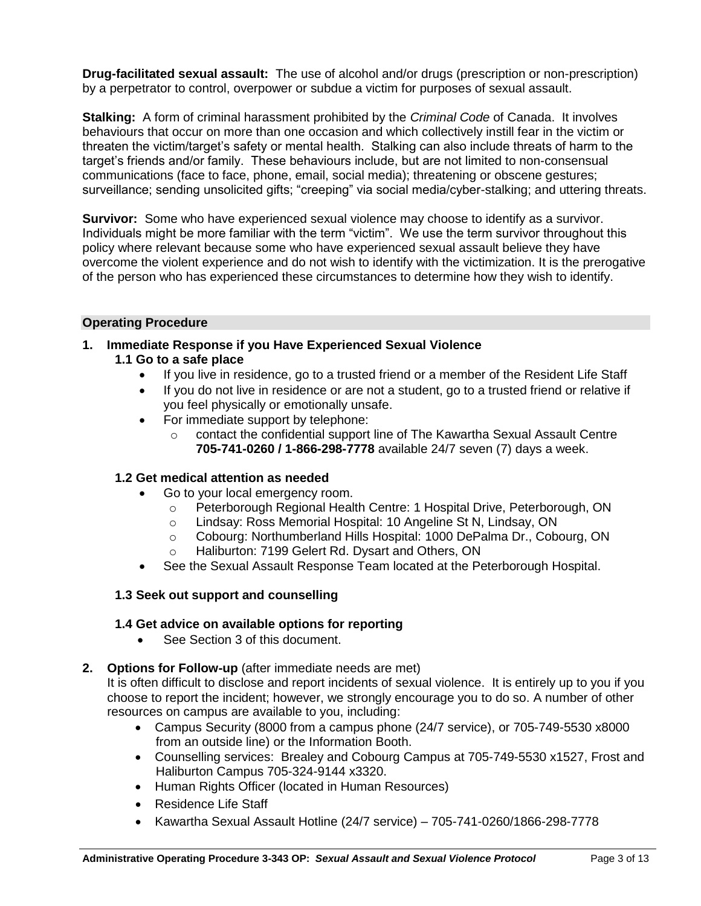**Drug-facilitated sexual assault:** The use of alcohol and/or drugs (prescription or non-prescription) by a perpetrator to control, overpower or subdue a victim for purposes of sexual assault.

**Stalking:** A form of criminal harassment prohibited by the *Criminal Code* of Canada. It involves behaviours that occur on more than one occasion and which collectively instill fear in the victim or threaten the victim/target's safety or mental health. Stalking can also include threats of harm to the target's friends and/or family. These behaviours include, but are not limited to non-consensual communications (face to face, phone, email, social media); threatening or obscene gestures; surveillance; sending unsolicited gifts; "creeping" via social media/cyber-stalking; and uttering threats.

**Survivor:** Some who have experienced sexual violence may choose to identify as a survivor. Individuals might be more familiar with the term "victim". We use the term survivor throughout this policy where relevant because some who have experienced sexual assault believe they have overcome the violent experience and do not wish to identify with the victimization. It is the prerogative of the person who has experienced these circumstances to determine how they wish to identify.

### **Operating Procedure**

- **1. Immediate Response if you Have Experienced Sexual Violence**
	- **1.1 Go to a safe place**
		- If you live in residence, go to a trusted friend or a member of the Resident Life Staff
		- If you do not live in residence or are not a student, go to a trusted friend or relative if you feel physically or emotionally unsafe.
		- For immediate support by telephone:
			- o contact the confidential support line of The Kawartha Sexual Assault Centre **705-741-0260 / 1-866-298-7778** available 24/7 seven (7) days a week.

## **1.2 Get medical attention as needed**

- Go to your local emergency room.
	- o Peterborough Regional Health Centre: 1 Hospital Drive, Peterborough, ON
	- o Lindsay: Ross Memorial Hospital: 10 Angeline St N, Lindsay, ON
	- o Cobourg: Northumberland Hills Hospital: 1000 DePalma Dr., Cobourg, ON
	- o Haliburton: 7199 Gelert Rd. Dysart and Others, ON
- See the Sexual Assault Response Team located at the Peterborough Hospital.

## **1.3 Seek out support and counselling**

## **1.4 Get advice on available options for reporting**

See Section 3 of this document.

## **2. Options for Follow-up** (after immediate needs are met)

It is often difficult to disclose and report incidents of sexual violence. It is entirely up to you if you choose to report the incident; however, we strongly encourage you to do so. A number of other resources on campus are available to you, including:

- Campus Security (8000 from a campus phone (24/7 service), or 705-749-5530 x8000 from an outside line) or the Information Booth.
- Counselling services: Brealey and Cobourg Campus at 705-749-5530 x1527, Frost and Haliburton Campus 705-324-9144 x3320.
- Human Rights Officer (located in Human Resources)
- Residence Life Staff
- Kawartha Sexual Assault Hotline  $(24/7 \text{ service}) 705-741-0260/1866-298-7778$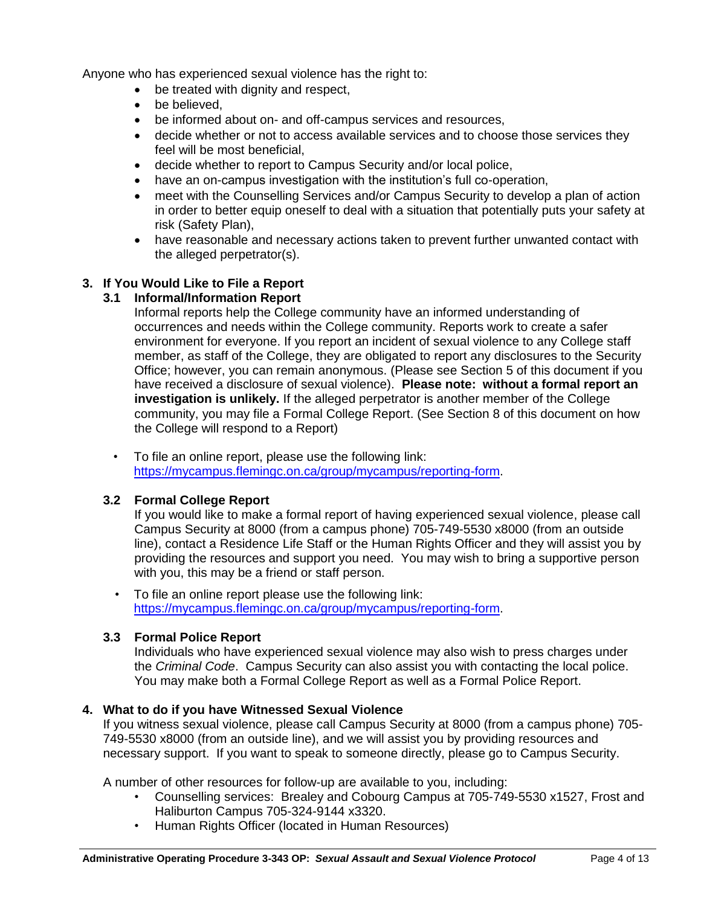Anyone who has experienced sexual violence has the right to:

- be treated with dignity and respect,
- be believed.
- be informed about on- and off-campus services and resources,
- decide whether or not to access available services and to choose those services they feel will be most beneficial,
- decide whether to report to Campus Security and/or local police,
- have an on-campus investigation with the institution's full co-operation,
- meet with the Counselling Services and/or Campus Security to develop a plan of action in order to better equip oneself to deal with a situation that potentially puts your safety at risk (Safety Plan),
- have reasonable and necessary actions taken to prevent further unwanted contact with the alleged perpetrator(s).

## **3. If You Would Like to File a Report**

## **3.1 Informal/Information Report**

Informal reports help the College community have an informed understanding of occurrences and needs within the College community. Reports work to create a safer environment for everyone. If you report an incident of sexual violence to any College staff member, as staff of the College, they are obligated to report any disclosures to the Security Office; however, you can remain anonymous. (Please see Section 5 of this document if you have received a disclosure of sexual violence). **Please note: without a formal report an investigation is unlikely.** If the alleged perpetrator is another member of the College community, you may file a Formal College Report. (See Section 8 of this document on how the College will respond to a Report)

• To file an online report, please use the following link: [https://mycampus.flemingc.on.ca/group/mycampus/reporting-form.](https://mycampus.flemingc.on.ca/group/mycampus/reporting-form)

## **3.2 Formal College Report**

If you would like to make a formal report of having experienced sexual violence, please call Campus Security at 8000 (from a campus phone) 705-749-5530 x8000 (from an outside line), contact a Residence Life Staff or the Human Rights Officer and they will assist you by providing the resources and support you need. You may wish to bring a supportive person with you, this may be a friend or staff person.

• To file an online report please use the following link: [https://mycampus.flemingc.on.ca/group/mycampus/reporting-form.](https://mycampus.flemingc.on.ca/group/mycampus/reporting-form)

## **3.3 Formal Police Report**

Individuals who have experienced sexual violence may also wish to press charges under the *Criminal Code*. Campus Security can also assist you with contacting the local police. You may make both a Formal College Report as well as a Formal Police Report.

## **4. What to do if you have Witnessed Sexual Violence**

If you witness sexual violence, please call Campus Security at 8000 (from a campus phone) 705- 749-5530 x8000 (from an outside line), and we will assist you by providing resources and necessary support. If you want to speak to someone directly, please go to Campus Security.

A number of other resources for follow-up are available to you, including:

- Counselling services: Brealey and Cobourg Campus at 705-749-5530 x1527, Frost and Haliburton Campus 705-324-9144 x3320.
- Human Rights Officer (located in Human Resources)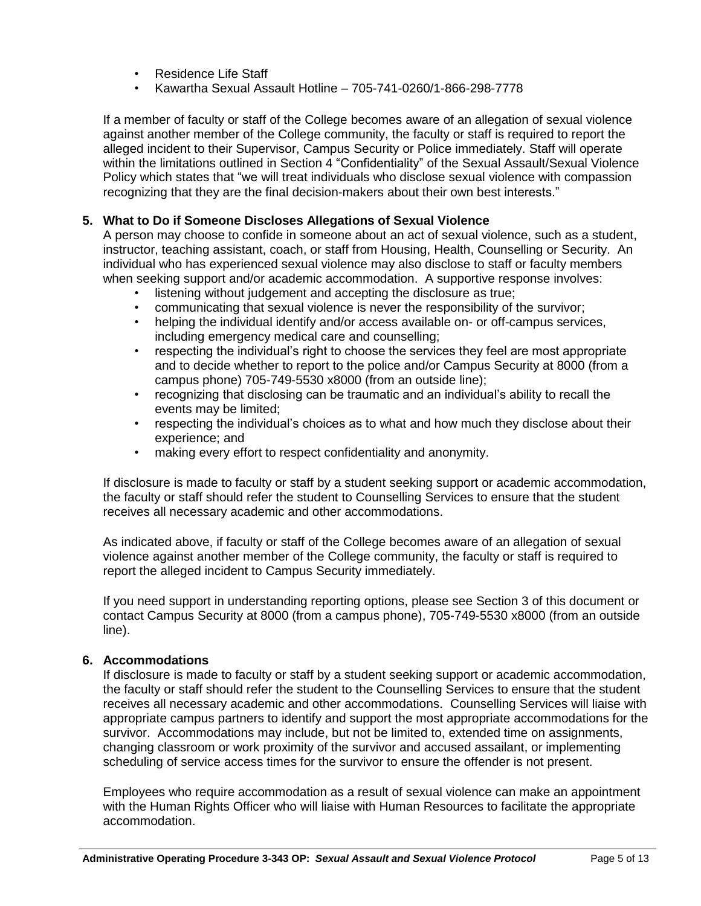- Residence Life Staff
- Kawartha Sexual Assault Hotline 705-741-0260/1-866-298-7778

If a member of faculty or staff of the College becomes aware of an allegation of sexual violence against another member of the College community, the faculty or staff is required to report the alleged incident to their Supervisor, Campus Security or Police immediately. Staff will operate within the limitations outlined in Section 4 "Confidentiality" of the Sexual Assault/Sexual Violence Policy which states that "we will treat individuals who disclose sexual violence with compassion recognizing that they are the final decision-makers about their own best interests."

## **5. What to Do if Someone Discloses Allegations of Sexual Violence**

A person may choose to confide in someone about an act of sexual violence, such as a student, instructor, teaching assistant, coach, or staff from Housing, Health, Counselling or Security. An individual who has experienced sexual violence may also disclose to staff or faculty members when seeking support and/or academic accommodation. A supportive response involves:

- listening without judgement and accepting the disclosure as true;
- communicating that sexual violence is never the responsibility of the survivor;
- helping the individual identify and/or access available on- or off-campus services, including emergency medical care and counselling;
- respecting the individual's right to choose the services they feel are most appropriate and to decide whether to report to the police and/or Campus Security at 8000 (from a campus phone) 705-749-5530 x8000 (from an outside line);
- recognizing that disclosing can be traumatic and an individual's ability to recall the events may be limited;
- respecting the individual's choices as to what and how much they disclose about their experience; and
- making every effort to respect confidentiality and anonymity.

If disclosure is made to faculty or staff by a student seeking support or academic accommodation, the faculty or staff should refer the student to Counselling Services to ensure that the student receives all necessary academic and other accommodations.

As indicated above, if faculty or staff of the College becomes aware of an allegation of sexual violence against another member of the College community, the faculty or staff is required to report the alleged incident to Campus Security immediately.

If you need support in understanding reporting options, please see Section 3 of this document or contact Campus Security at 8000 (from a campus phone), 705-749-5530 x8000 (from an outside line).

## **6. Accommodations**

If disclosure is made to faculty or staff by a student seeking support or academic accommodation, the faculty or staff should refer the student to the Counselling Services to ensure that the student receives all necessary academic and other accommodations. Counselling Services will liaise with appropriate campus partners to identify and support the most appropriate accommodations for the survivor. Accommodations may include, but not be limited to, extended time on assignments, changing classroom or work proximity of the survivor and accused assailant, or implementing scheduling of service access times for the survivor to ensure the offender is not present.

Employees who require accommodation as a result of sexual violence can make an appointment with the Human Rights Officer who will liaise with Human Resources to facilitate the appropriate accommodation.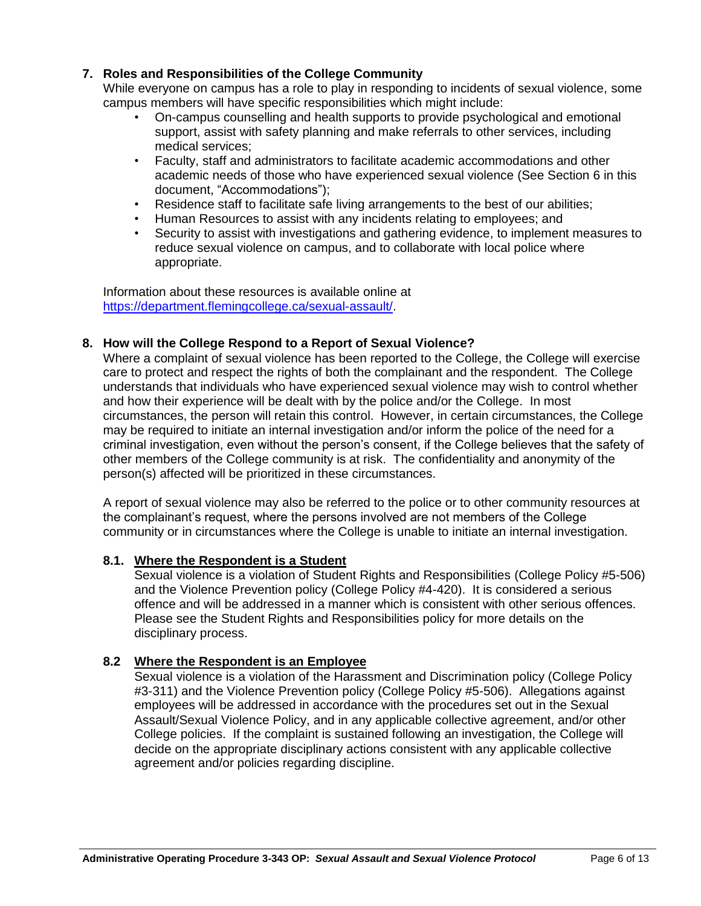## **7. Roles and Responsibilities of the College Community**

While everyone on campus has a role to play in responding to incidents of sexual violence, some campus members will have specific responsibilities which might include:

- On-campus counselling and health supports to provide psychological and emotional support, assist with safety planning and make referrals to other services, including medical services;
- Faculty, staff and administrators to facilitate academic accommodations and other academic needs of those who have experienced sexual violence (See Section 6 in this document, "Accommodations");
- Residence staff to facilitate safe living arrangements to the best of our abilities;
- Human Resources to assist with any incidents relating to employees; and
- Security to assist with investigations and gathering evidence, to implement measures to reduce sexual violence on campus, and to collaborate with local police where appropriate.

Information about these resources is available online at [https://department.flemingcollege.ca/sexual-assault/.](https://department.flemingcollege.ca/sexual-assault/)

## **8. How will the College Respond to a Report of Sexual Violence?**

Where a complaint of sexual violence has been reported to the College, the College will exercise care to protect and respect the rights of both the complainant and the respondent. The College understands that individuals who have experienced sexual violence may wish to control whether and how their experience will be dealt with by the police and/or the College. In most circumstances, the person will retain this control. However, in certain circumstances, the College may be required to initiate an internal investigation and/or inform the police of the need for a criminal investigation, even without the person's consent, if the College believes that the safety of other members of the College community is at risk. The confidentiality and anonymity of the person(s) affected will be prioritized in these circumstances.

A report of sexual violence may also be referred to the police or to other community resources at the complainant's request, where the persons involved are not members of the College community or in circumstances where the College is unable to initiate an internal investigation.

#### **8.1. Where the Respondent is a Student**

Sexual violence is a violation of Student Rights and Responsibilities (College Policy #5-506) and the Violence Prevention policy (College Policy #4-420). It is considered a serious offence and will be addressed in a manner which is consistent with other serious offences. Please see the Student Rights and Responsibilities policy for more details on the disciplinary process.

## **8.2 Where the Respondent is an Employee**

Sexual violence is a violation of the Harassment and Discrimination policy (College Policy #3-311) and the Violence Prevention policy (College Policy #5-506). Allegations against employees will be addressed in accordance with the procedures set out in the Sexual Assault/Sexual Violence Policy, and in any applicable collective agreement, and/or other College policies. If the complaint is sustained following an investigation, the College will decide on the appropriate disciplinary actions consistent with any applicable collective agreement and/or policies regarding discipline.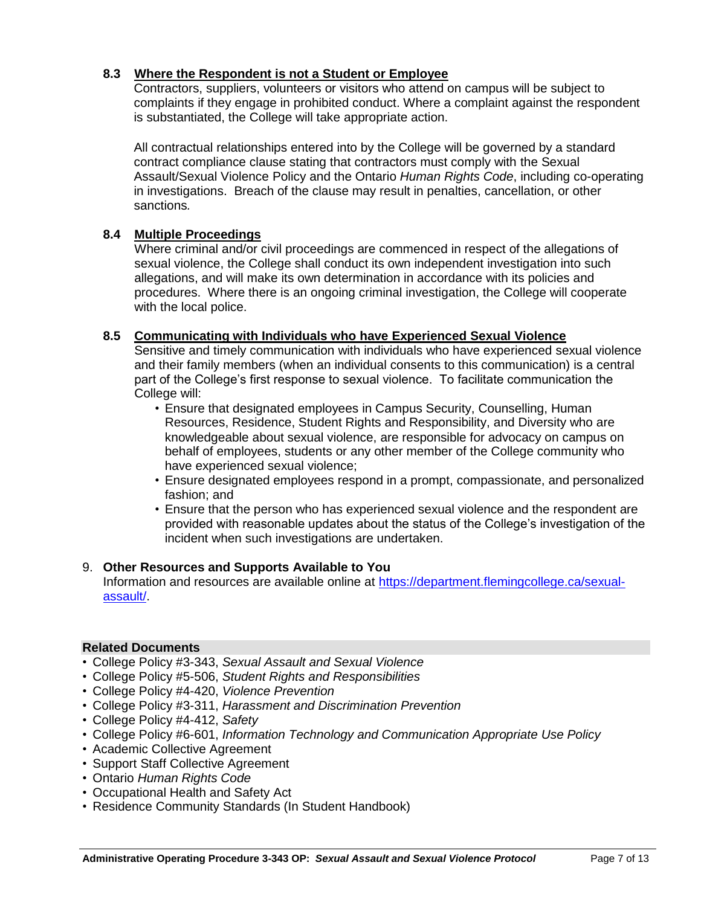## **8.3 Where the Respondent is not a Student or Employee**

Contractors, suppliers, volunteers or visitors who attend on campus will be subject to complaints if they engage in prohibited conduct. Where a complaint against the respondent is substantiated, the College will take appropriate action.

All contractual relationships entered into by the College will be governed by a standard contract compliance clause stating that contractors must comply with the Sexual Assault/Sexual Violence Policy and the Ontario *Human Rights Code*, including co-operating in investigations. Breach of the clause may result in penalties, cancellation, or other sanctions*.* 

## **8.4 Multiple Proceedings**

Where criminal and/or civil proceedings are commenced in respect of the allegations of sexual violence, the College shall conduct its own independent investigation into such allegations, and will make its own determination in accordance with its policies and procedures. Where there is an ongoing criminal investigation, the College will cooperate with the local police.

## **8.5 Communicating with Individuals who have Experienced Sexual Violence**

Sensitive and timely communication with individuals who have experienced sexual violence and their family members (when an individual consents to this communication) is a central part of the College's first response to sexual violence. To facilitate communication the College will:

- Ensure that designated employees in Campus Security, Counselling, Human Resources, Residence, Student Rights and Responsibility, and Diversity who are knowledgeable about sexual violence, are responsible for advocacy on campus on behalf of employees, students or any other member of the College community who have experienced sexual violence;
- Ensure designated employees respond in a prompt, compassionate, and personalized fashion; and
- Ensure that the person who has experienced sexual violence and the respondent are provided with reasonable updates about the status of the College's investigation of the incident when such investigations are undertaken.

## 9. **Other Resources and Supports Available to You**

Information and resources are available online at [https://department.flemingcollege.ca/sexual](https://department.flemingcollege.ca/sexual-assault/)[assault/.](https://department.flemingcollege.ca/sexual-assault/)

## **Related Documents**

- College Policy #3-343, *Sexual Assault and Sexual Violence*
- College Policy #5-506, *Student Rights and Responsibilities*
- College Policy #4-420, *Violence Prevention*
- College Policy #3-311, *Harassment and Discrimination Prevention*
- College Policy #4-412, *Safety*
- College Policy #6-601, *Information Technology and Communication Appropriate Use Policy*
- Academic Collective Agreement
- Support Staff Collective Agreement
- Ontario *Human Rights Code*
- Occupational Health and Safety Act
- Residence Community Standards (In Student Handbook)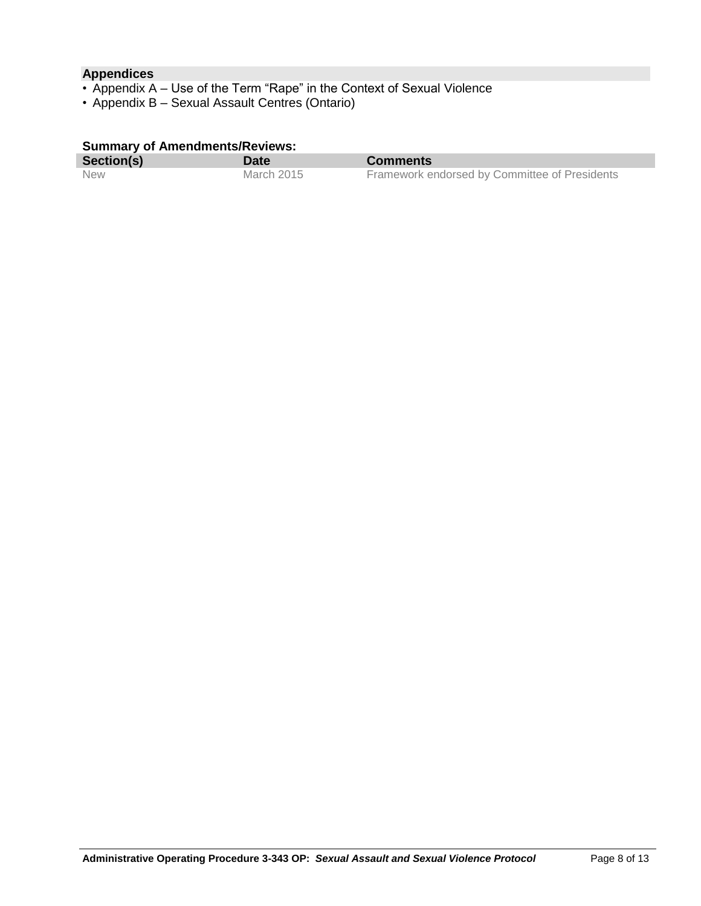## **Appendices**

- Appendix A Use of the Term "Rape" in the Context of Sexual Violence
- Appendix B Sexual Assault Centres (Ontario)

### **Summary of Amendments/Reviews:**

| Section(s) | Date       | <b>Comments</b>                               |
|------------|------------|-----------------------------------------------|
| <b>New</b> | March 2015 | Framework endorsed by Committee of Presidents |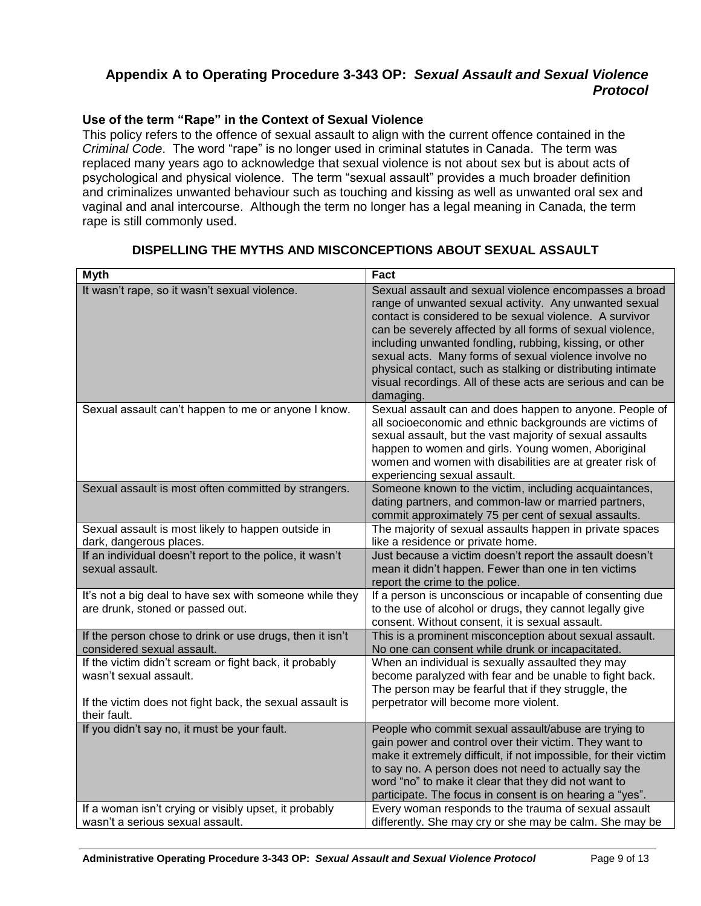# **Appendix A to Operating Procedure 3-343 OP:** *Sexual Assault and Sexual Violence Protocol*

## **Use of the term "Rape" in the Context of Sexual Violence**

This policy refers to the offence of sexual assault to align with the current offence contained in the *Criminal Code*. The word "rape" is no longer used in criminal statutes in Canada. The term was replaced many years ago to acknowledge that sexual violence is not about sex but is about acts of psychological and physical violence. The term "sexual assault" provides a much broader definition and criminalizes unwanted behaviour such as touching and kissing as well as unwanted oral sex and vaginal and anal intercourse. Although the term no longer has a legal meaning in Canada, the term rape is still commonly used.

| <b>Myth</b>                                                                                                                                                  | <b>Fact</b>                                                                                                                                                                                                                                                                                                                                                                                                                                                                                             |
|--------------------------------------------------------------------------------------------------------------------------------------------------------------|---------------------------------------------------------------------------------------------------------------------------------------------------------------------------------------------------------------------------------------------------------------------------------------------------------------------------------------------------------------------------------------------------------------------------------------------------------------------------------------------------------|
| It wasn't rape, so it wasn't sexual violence.                                                                                                                | Sexual assault and sexual violence encompasses a broad<br>range of unwanted sexual activity. Any unwanted sexual<br>contact is considered to be sexual violence. A survivor<br>can be severely affected by all forms of sexual violence,<br>including unwanted fondling, rubbing, kissing, or other<br>sexual acts. Many forms of sexual violence involve no<br>physical contact, such as stalking or distributing intimate<br>visual recordings. All of these acts are serious and can be<br>damaging. |
| Sexual assault can't happen to me or anyone I know.                                                                                                          | Sexual assault can and does happen to anyone. People of<br>all socioeconomic and ethnic backgrounds are victims of<br>sexual assault, but the vast majority of sexual assaults<br>happen to women and girls. Young women, Aboriginal<br>women and women with disabilities are at greater risk of<br>experiencing sexual assault.                                                                                                                                                                        |
| Sexual assault is most often committed by strangers.                                                                                                         | Someone known to the victim, including acquaintances,<br>dating partners, and common-law or married partners,<br>commit approximately 75 per cent of sexual assaults.                                                                                                                                                                                                                                                                                                                                   |
| Sexual assault is most likely to happen outside in<br>dark, dangerous places.                                                                                | The majority of sexual assaults happen in private spaces<br>like a residence or private home.                                                                                                                                                                                                                                                                                                                                                                                                           |
| If an individual doesn't report to the police, it wasn't<br>sexual assault.                                                                                  | Just because a victim doesn't report the assault doesn't<br>mean it didn't happen. Fewer than one in ten victims<br>report the crime to the police.                                                                                                                                                                                                                                                                                                                                                     |
| It's not a big deal to have sex with someone while they<br>are drunk, stoned or passed out.                                                                  | If a person is unconscious or incapable of consenting due<br>to the use of alcohol or drugs, they cannot legally give<br>consent. Without consent, it is sexual assault.                                                                                                                                                                                                                                                                                                                                |
| If the person chose to drink or use drugs, then it isn't<br>considered sexual assault.                                                                       | This is a prominent misconception about sexual assault.<br>No one can consent while drunk or incapacitated.                                                                                                                                                                                                                                                                                                                                                                                             |
| If the victim didn't scream or fight back, it probably<br>wasn't sexual assault.<br>If the victim does not fight back, the sexual assault is<br>their fault. | When an individual is sexually assaulted they may<br>become paralyzed with fear and be unable to fight back.<br>The person may be fearful that if they struggle, the<br>perpetrator will become more violent.                                                                                                                                                                                                                                                                                           |
| If you didn't say no, it must be your fault.<br>If a woman isn't crying or visibly upset, it probably                                                        | People who commit sexual assault/abuse are trying to<br>gain power and control over their victim. They want to<br>make it extremely difficult, if not impossible, for their victim<br>to say no. A person does not need to actually say the<br>word "no" to make it clear that they did not want to<br>participate. The focus in consent is on hearing a "yes".<br>Every woman responds to the trauma of sexual assault                                                                                 |
| wasn't a serious sexual assault.                                                                                                                             | differently. She may cry or she may be calm. She may be                                                                                                                                                                                                                                                                                                                                                                                                                                                 |

## **DISPELLING THE MYTHS AND MISCONCEPTIONS ABOUT SEXUAL ASSAULT**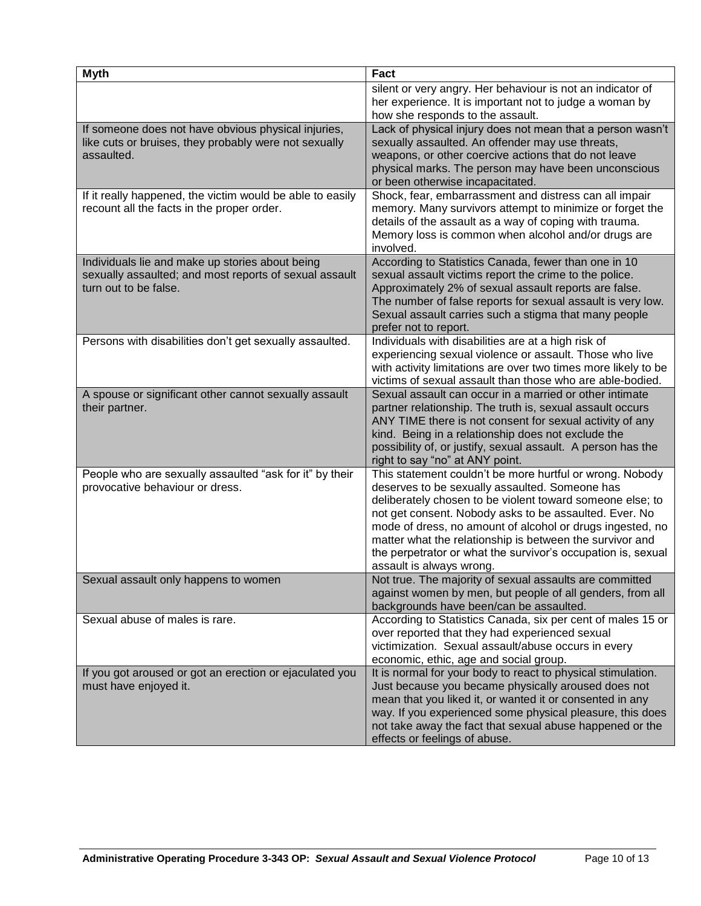| <b>Myth</b>                                                                                                                        | <b>Fact</b>                                                                                                                                                                                                                                                                                                                                                                                                                                            |
|------------------------------------------------------------------------------------------------------------------------------------|--------------------------------------------------------------------------------------------------------------------------------------------------------------------------------------------------------------------------------------------------------------------------------------------------------------------------------------------------------------------------------------------------------------------------------------------------------|
|                                                                                                                                    | silent or very angry. Her behaviour is not an indicator of<br>her experience. It is important not to judge a woman by<br>how she responds to the assault.                                                                                                                                                                                                                                                                                              |
| If someone does not have obvious physical injuries,<br>like cuts or bruises, they probably were not sexually<br>assaulted.         | Lack of physical injury does not mean that a person wasn't<br>sexually assaulted. An offender may use threats,<br>weapons, or other coercive actions that do not leave<br>physical marks. The person may have been unconscious<br>or been otherwise incapacitated.                                                                                                                                                                                     |
| If it really happened, the victim would be able to easily<br>recount all the facts in the proper order.                            | Shock, fear, embarrassment and distress can all impair<br>memory. Many survivors attempt to minimize or forget the<br>details of the assault as a way of coping with trauma.<br>Memory loss is common when alcohol and/or drugs are<br>involved.                                                                                                                                                                                                       |
| Individuals lie and make up stories about being<br>sexually assaulted; and most reports of sexual assault<br>turn out to be false. | According to Statistics Canada, fewer than one in 10<br>sexual assault victims report the crime to the police.<br>Approximately 2% of sexual assault reports are false.<br>The number of false reports for sexual assault is very low.<br>Sexual assault carries such a stigma that many people<br>prefer not to report.                                                                                                                               |
| Persons with disabilities don't get sexually assaulted.                                                                            | Individuals with disabilities are at a high risk of<br>experiencing sexual violence or assault. Those who live<br>with activity limitations are over two times more likely to be<br>victims of sexual assault than those who are able-bodied.                                                                                                                                                                                                          |
| A spouse or significant other cannot sexually assault<br>their partner.                                                            | Sexual assault can occur in a married or other intimate<br>partner relationship. The truth is, sexual assault occurs<br>ANY TIME there is not consent for sexual activity of any<br>kind. Being in a relationship does not exclude the<br>possibility of, or justify, sexual assault. A person has the<br>right to say "no" at ANY point.                                                                                                              |
| People who are sexually assaulted "ask for it" by their<br>provocative behaviour or dress.                                         | This statement couldn't be more hurtful or wrong. Nobody<br>deserves to be sexually assaulted. Someone has<br>deliberately chosen to be violent toward someone else; to<br>not get consent. Nobody asks to be assaulted. Ever. No<br>mode of dress, no amount of alcohol or drugs ingested, no<br>matter what the relationship is between the survivor and<br>the perpetrator or what the survivor's occupation is, sexual<br>assault is always wrong. |
| Sexual assault only happens to women                                                                                               | Not true. The majority of sexual assaults are committed<br>against women by men, but people of all genders, from all<br>backgrounds have been/can be assaulted.                                                                                                                                                                                                                                                                                        |
| Sexual abuse of males is rare.                                                                                                     | According to Statistics Canada, six per cent of males 15 or<br>over reported that they had experienced sexual<br>victimization. Sexual assault/abuse occurs in every<br>economic, ethic, age and social group.                                                                                                                                                                                                                                         |
| If you got aroused or got an erection or ejaculated you<br>must have enjoyed it.                                                   | It is normal for your body to react to physical stimulation.<br>Just because you became physically aroused does not<br>mean that you liked it, or wanted it or consented in any<br>way. If you experienced some physical pleasure, this does<br>not take away the fact that sexual abuse happened or the<br>effects or feelings of abuse.                                                                                                              |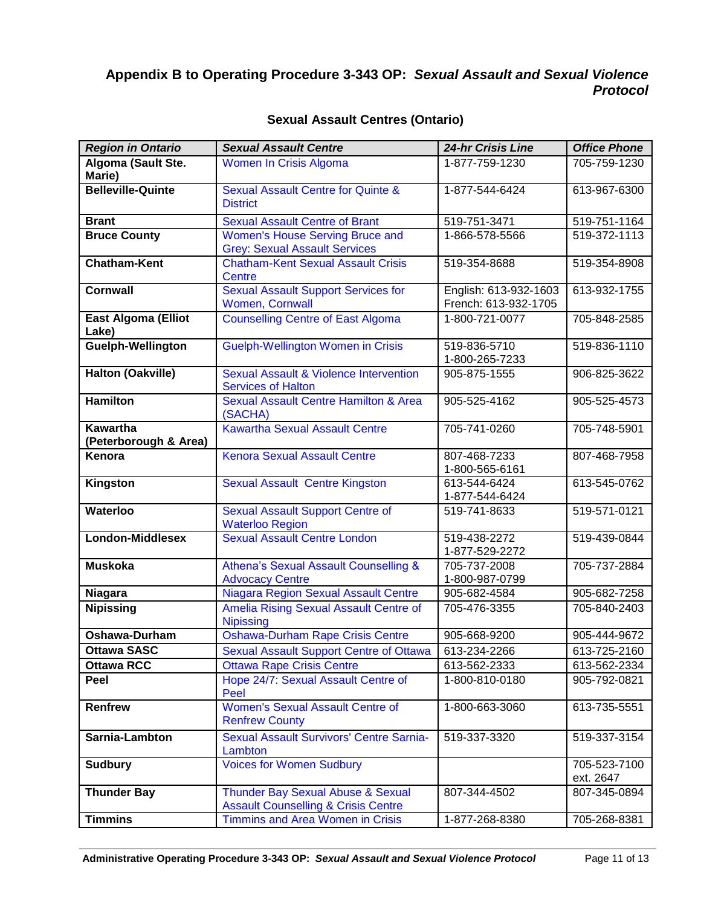# **Appendix B to Operating Procedure 3-343 OP:** *Sexual Assault and Sexual Violence Protocol*

| <b>Region in Ontario</b>                 | <b>Sexual Assault Centre</b>                                                        | 24-hr Crisis Line                             | <b>Office Phone</b>       |
|------------------------------------------|-------------------------------------------------------------------------------------|-----------------------------------------------|---------------------------|
| Algoma (Sault Ste.<br>Marie)             | Women In Crisis Algoma                                                              | 1-877-759-1230                                | 705-759-1230              |
| <b>Belleville-Quinte</b>                 | <b>Sexual Assault Centre for Quinte &amp;</b><br><b>District</b>                    | 1-877-544-6424                                | 613-967-6300              |
| <b>Brant</b>                             | <b>Sexual Assault Centre of Brant</b>                                               | 519-751-3471                                  | 519-751-1164              |
| <b>Bruce County</b>                      | Women's House Serving Bruce and<br><b>Grey: Sexual Assault Services</b>             | 1-866-578-5566                                | 519-372-1113              |
| <b>Chatham-Kent</b>                      | <b>Chatham-Kent Sexual Assault Crisis</b><br>Centre                                 | 519-354-8688                                  | 519-354-8908              |
| <b>Cornwall</b>                          | <b>Sexual Assault Support Services for</b><br><b>Women, Cornwall</b>                | English: 613-932-1603<br>French: 613-932-1705 | 613-932-1755              |
| East Algoma (Elliot<br>Lake)             | <b>Counselling Centre of East Algoma</b>                                            | 1-800-721-0077                                | 705-848-2585              |
| Guelph-Wellington                        | <b>Guelph-Wellington Women in Crisis</b>                                            | 519-836-5710<br>1-800-265-7233                | 519-836-1110              |
| <b>Halton (Oakville)</b>                 | Sexual Assault & Violence Intervention<br><b>Services of Halton</b>                 | 905-875-1555                                  | 906-825-3622              |
| <b>Hamilton</b>                          | Sexual Assault Centre Hamilton & Area<br>(SACHA)                                    | 905-525-4162                                  | 905-525-4573              |
| <b>Kawartha</b><br>(Peterborough & Area) | <b>Kawartha Sexual Assault Centre</b>                                               | 705-741-0260                                  | 705-748-5901              |
| Kenora                                   | <b>Kenora Sexual Assault Centre</b>                                                 | 807-468-7233<br>1-800-565-6161                | 807-468-7958              |
| Kingston                                 | <b>Sexual Assault Centre Kingston</b>                                               | 613-544-6424<br>1-877-544-6424                | 613-545-0762              |
| Waterloo                                 | <b>Sexual Assault Support Centre of</b><br><b>Waterloo Region</b>                   | 519-741-8633                                  | 519-571-0121              |
| London-Middlesex                         | <b>Sexual Assault Centre London</b>                                                 | 519-438-2272<br>1-877-529-2272                | 519-439-0844              |
| <b>Muskoka</b>                           | Athena's Sexual Assault Counselling &<br><b>Advocacy Centre</b>                     | 705-737-2008<br>1-800-987-0799                | 705-737-2884              |
| Niagara                                  | Niagara Region Sexual Assault Centre                                                | 905-682-4584                                  | 905-682-7258              |
| <b>Nipissing</b>                         | Amelia Rising Sexual Assault Centre of<br><b>Nipissing</b>                          | 705-476-3355                                  | 705-840-2403              |
| Oshawa-Durham                            | <b>Oshawa-Durham Rape Crisis Centre</b>                                             | 905-668-9200                                  | 905-444-9672              |
| <b>Ottawa SASC</b>                       | <b>Sexual Assault Support Centre of Ottawa</b>                                      | 613-234-2266                                  | 613-725-2160              |
| <b>Ottawa RCC</b>                        | <b>Ottawa Rape Crisis Centre</b>                                                    | 613-562-2333                                  | 613-562-2334              |
| Peel                                     | Hope 24/7: Sexual Assault Centre of<br>Peel                                         | 1-800-810-0180                                | 905-792-0821              |
| <b>Renfrew</b>                           | <b>Women's Sexual Assault Centre of</b><br><b>Renfrew County</b>                    | 1-800-663-3060                                | 613-735-5551              |
| Sarnia-Lambton                           | <b>Sexual Assault Survivors' Centre Sarnia-</b><br>Lambton                          | 519-337-3320                                  | 519-337-3154              |
| <b>Sudbury</b>                           | <b>Voices for Women Sudbury</b>                                                     |                                               | 705-523-7100<br>ext. 2647 |
| <b>Thunder Bay</b>                       | Thunder Bay Sexual Abuse & Sexual<br><b>Assault Counselling &amp; Crisis Centre</b> | 807-344-4502                                  | 807-345-0894              |
| <b>Timmins</b>                           | Timmins and Area Women in Crisis                                                    | 1-877-268-8380                                | 705-268-8381              |

## **Sexual Assault Centres (Ontario)**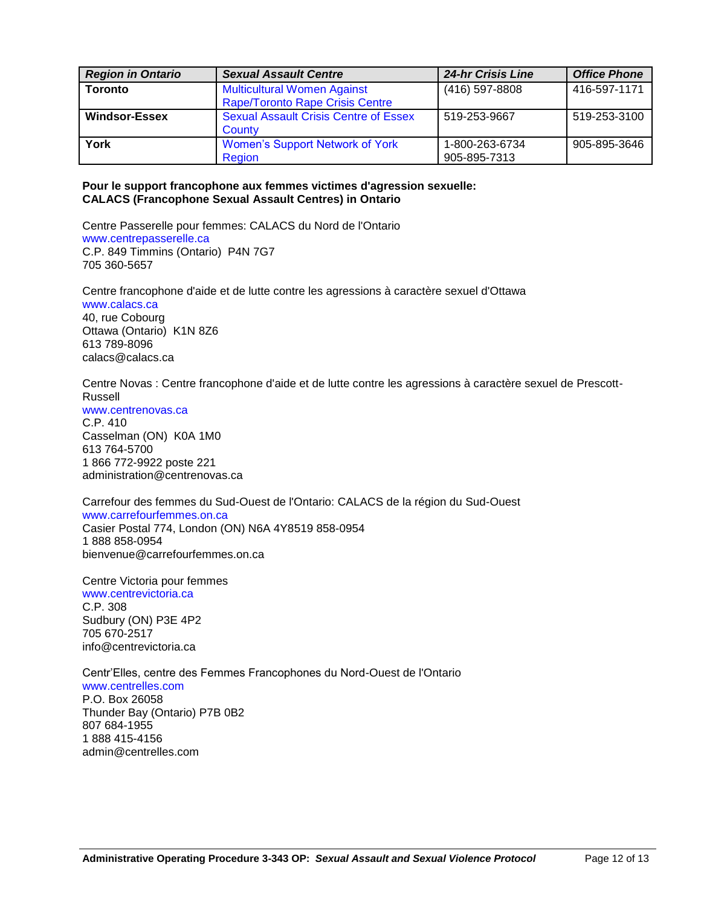| <b>Region in Ontario</b> | <b>Sexual Assault Centre</b>                 | <b>24-hr Crisis Line</b> | <b>Office Phone</b> |
|--------------------------|----------------------------------------------|--------------------------|---------------------|
| <b>Toronto</b>           | <b>Multicultural Women Against</b>           | (416) 597-8808           | 416-597-1171        |
|                          | <b>Rape/Toronto Rape Crisis Centre</b>       |                          |                     |
| Windsor-Essex            | <b>Sexual Assault Crisis Centre of Essex</b> | 519-253-9667             | 519-253-3100        |
|                          | County                                       |                          |                     |
| York                     | Women's Support Network of York              | 1-800-263-6734           | 905-895-3646        |
|                          | Region                                       | 905-895-7313             |                     |

#### **Pour le support francophone aux femmes victimes d'agression sexuelle: CALACS (Francophone Sexual Assault Centres) in Ontario**

Centre Passerelle pour femmes: CALACS du Nord de l'Ontario [www.centrepasserelle.ca](https://www.centrepasserelle.ca/) C.P. 849 Timmins (Ontario) P4N 7G7 705 360-5657

Centre francophone d'aide et de lutte contre les agressions à caractère sexuel d'Ottawa [www.calacs.ca](https://www.calacs.ca/) 40, rue Cobourg

Ottawa (Ontario) K1N 8Z6 613 789-8096 calacs@calacs.ca

Centre Novas : Centre francophone d'aide et de lutte contre les agressions à caractère sexuel de Prescott-Russell

[www.centrenovas.ca](https://www.centrenovas.ca/)

C.P. 410 Casselman (ON) K0A 1M0 613 764-5700 1 866 772-9922 poste 221 administration@centrenovas.ca

Carrefour des femmes du Sud-Ouest de l'Ontario: CALACS de la région du Sud-Ouest [www.carrefourfemmes.on.ca](https://www.carrefourfemmes.on.ca/)

Casier Postal 774, London (ON) N6A 4Y8519 858-0954 1 888 858-0954 bienvenue@carrefourfemmes.on.ca

Centre Victoria pour femmes [www.centrevictoria.ca](https://www.centrevictoria.ca/) C.P. 308 Sudbury (ON) P3E 4P2 705 670-2517 info@centrevictoria.ca

Centr'Elles, centre des Femmes Francophones du Nord-Ouest de l'Ontario [www.centrelles.com](https://www.centrelles.com/) P.O. Box 26058 Thunder Bay (Ontario) P7B 0B2 807 684-1955 1 888 415-4156 admin@centrelles.com